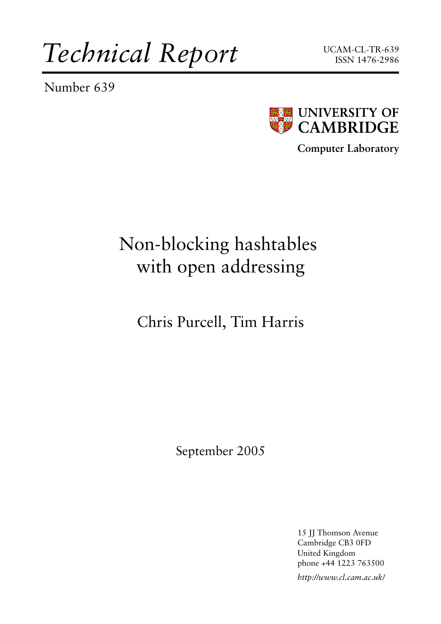*Technical Report*

Number 639





**Computer Laboratory**

# Non-blocking hashtables with open addressing

# Chris Purcell, Tim Harris

September 2005

15 JJ Thomson Avenue Cambridge CB3 0FD United Kingdom phone +44 1223 763500

*http://www.cl.cam.ac.uk/*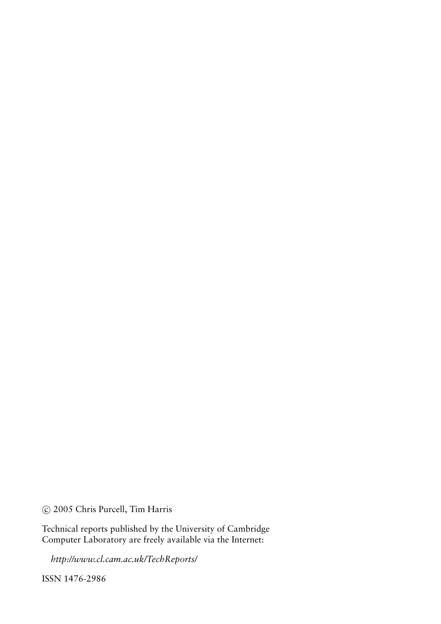c 2005 Chris Purcell, Tim Harris

Technical reports published by the University of Cambridge Computer Laboratory are freely available via the Internet:

*http://www.cl.cam.ac.uk/TechReports/*

ISSN 1476-2986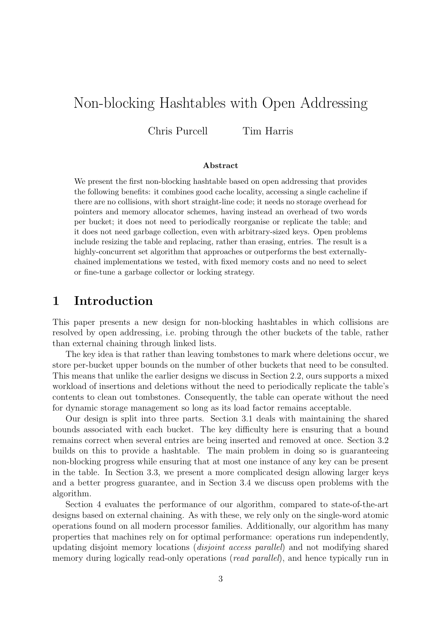## Non-blocking Hashtables with Open Addressing

Chris Purcell Tim Harris

#### Abstract

We present the first non-blocking hashtable based on open addressing that provides the following benefits: it combines good cache locality, accessing a single cacheline if there are no collisions, with short straight-line code; it needs no storage overhead for pointers and memory allocator schemes, having instead an overhead of two words per bucket; it does not need to periodically reorganise or replicate the table; and it does not need garbage collection, even with arbitrary-sized keys. Open problems include resizing the table and replacing, rather than erasing, entries. The result is a highly-concurrent set algorithm that approaches or outperforms the best externallychained implementations we tested, with fixed memory costs and no need to select or fine-tune a garbage collector or locking strategy.

## 1 Introduction

This paper presents a new design for non-blocking hashtables in which collisions are resolved by open addressing, i.e. probing through the other buckets of the table, rather than external chaining through linked lists.

The key idea is that rather than leaving tombstones to mark where deletions occur, we store per-bucket upper bounds on the number of other buckets that need to be consulted. This means that unlike the earlier designs we discuss in Section 2.2, ours supports a mixed workload of insertions and deletions without the need to periodically replicate the table's contents to clean out tombstones. Consequently, the table can operate without the need for dynamic storage management so long as its load factor remains acceptable.

Our design is split into three parts. Section 3.1 deals with maintaining the shared bounds associated with each bucket. The key difficulty here is ensuring that a bound remains correct when several entries are being inserted and removed at once. Section 3.2 builds on this to provide a hashtable. The main problem in doing so is guaranteeing non-blocking progress while ensuring that at most one instance of any key can be present in the table. In Section 3.3, we present a more complicated design allowing larger keys and a better progress guarantee, and in Section 3.4 we discuss open problems with the algorithm.

Section 4 evaluates the performance of our algorithm, compared to state-of-the-art designs based on external chaining. As with these, we rely only on the single-word atomic operations found on all modern processor families. Additionally, our algorithm has many properties that machines rely on for optimal performance: operations run independently, updating disjoint memory locations (disjoint access parallel) and not modifying shared memory during logically read-only operations (*read parallel*), and hence typically run in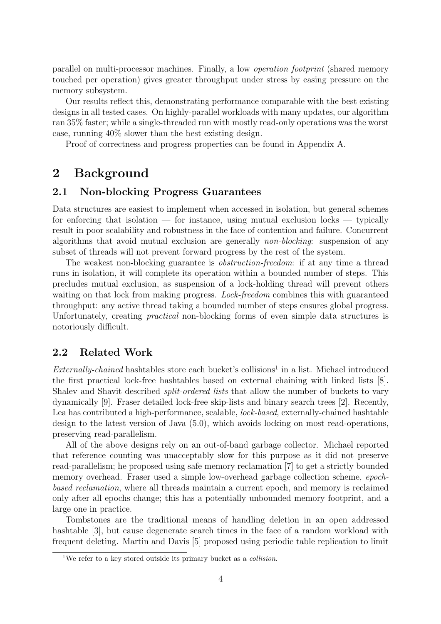parallel on multi-processor machines. Finally, a low operation footprint (shared memory touched per operation) gives greater throughput under stress by easing pressure on the memory subsystem.

Our results reflect this, demonstrating performance comparable with the best existing designs in all tested cases. On highly-parallel workloads with many updates, our algorithm ran 35% faster; while a single-threaded run with mostly read-only operations was the worst case, running 40% slower than the best existing design.

Proof of correctness and progress properties can be found in Appendix A.

## 2 Background

#### 2.1 Non-blocking Progress Guarantees

Data structures are easiest to implement when accessed in isolation, but general schemes for enforcing that isolation — for instance, using mutual exclusion locks — typically result in poor scalability and robustness in the face of contention and failure. Concurrent algorithms that avoid mutual exclusion are generally non-blocking: suspension of any subset of threads will not prevent forward progress by the rest of the system.

The weakest non-blocking guarantee is obstruction-freedom: if at any time a thread runs in isolation, it will complete its operation within a bounded number of steps. This precludes mutual exclusion, as suspension of a lock-holding thread will prevent others waiting on that lock from making progress. Lock-freedom combines this with guaranteed throughput: any active thread taking a bounded number of steps ensures global progress. Unfortunately, creating practical non-blocking forms of even simple data structures is notoriously difficult.

#### 2.2 Related Work

 $Externally-chained$  hashtables store each bucket's collisions<sup>1</sup> in a list. Michael introduced the first practical lock-free hashtables based on external chaining with linked lists [8]. Shalev and Shavit described *split-ordered lists* that allow the number of buckets to vary dynamically [9]. Fraser detailed lock-free skip-lists and binary search trees [2]. Recently, Lea has contributed a high-performance, scalable, *lock-based*, externally-chained hashtable design to the latest version of Java (5.0), which avoids locking on most read-operations, preserving read-parallelism.

All of the above designs rely on an out-of-band garbage collector. Michael reported that reference counting was unacceptably slow for this purpose as it did not preserve read-parallelism; he proposed using safe memory reclamation [7] to get a strictly bounded memory overhead. Fraser used a simple low-overhead garbage collection scheme, epochbased reclamation, where all threads maintain a current epoch, and memory is reclaimed only after all epochs change; this has a potentially unbounded memory footprint, and a large one in practice.

Tombstones are the traditional means of handling deletion in an open addressed hashtable [3], but cause degenerate search times in the face of a random workload with frequent deleting. Martin and Davis [5] proposed using periodic table replication to limit

<sup>&</sup>lt;sup>1</sup>We refer to a key stored outside its primary bucket as a *collision*.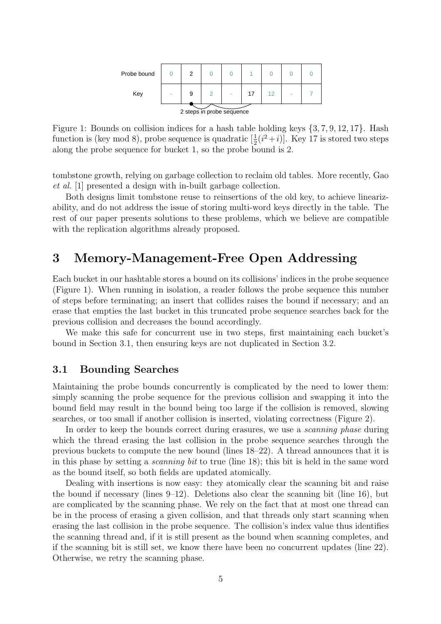| Probe bound               |   | 2 |  |  |    |    |  |  |  |  |  |
|---------------------------|---|---|--|--|----|----|--|--|--|--|--|
| Key                       | ۰ | 9 |  |  | 17 | 12 |  |  |  |  |  |
| 2 steps in probe sequence |   |   |  |  |    |    |  |  |  |  |  |

Figure 1: Bounds on collision indices for a hash table holding keys {3, 7, 9, 12, 17}. Hash function is (key mod 8), probe sequence is quadratic  $[\frac{1}{2}(i^2+i)]$ . Key 17 is stored two steps along the probe sequence for bucket 1, so the probe bound is 2.

tombstone growth, relying on garbage collection to reclaim old tables. More recently, Gao et al. [1] presented a design with in-built garbage collection.

Both designs limit tombstone reuse to reinsertions of the old key, to achieve linearizability, and do not address the issue of storing multi-word keys directly in the table. The rest of our paper presents solutions to these problems, which we believe are compatible with the replication algorithms already proposed.

## 3 Memory-Management-Free Open Addressing

Each bucket in our hashtable stores a bound on its collisions' indices in the probe sequence (Figure 1). When running in isolation, a reader follows the probe sequence this number of steps before terminating; an insert that collides raises the bound if necessary; and an erase that empties the last bucket in this truncated probe sequence searches back for the previous collision and decreases the bound accordingly.

We make this safe for concurrent use in two steps, first maintaining each bucket's bound in Section 3.1, then ensuring keys are not duplicated in Section 3.2.

#### 3.1 Bounding Searches

Maintaining the probe bounds concurrently is complicated by the need to lower them: simply scanning the probe sequence for the previous collision and swapping it into the bound field may result in the bound being too large if the collision is removed, slowing searches, or too small if another collision is inserted, violating correctness (Figure 2).

In order to keep the bounds correct during erasures, we use a *scanning phase* during which the thread erasing the last collision in the probe sequence searches through the previous buckets to compute the new bound (lines 18–22). A thread announces that it is in this phase by setting a scanning bit to true (line 18); this bit is held in the same word as the bound itself, so both fields are updated atomically.

Dealing with insertions is now easy: they atomically clear the scanning bit and raise the bound if necessary (lines  $9-12$ ). Deletions also clear the scanning bit (line 16), but are complicated by the scanning phase. We rely on the fact that at most one thread can be in the process of erasing a given collision, and that threads only start scanning when erasing the last collision in the probe sequence. The collision's index value thus identifies the scanning thread and, if it is still present as the bound when scanning completes, and if the scanning bit is still set, we know there have been no concurrent updates (line 22). Otherwise, we retry the scanning phase.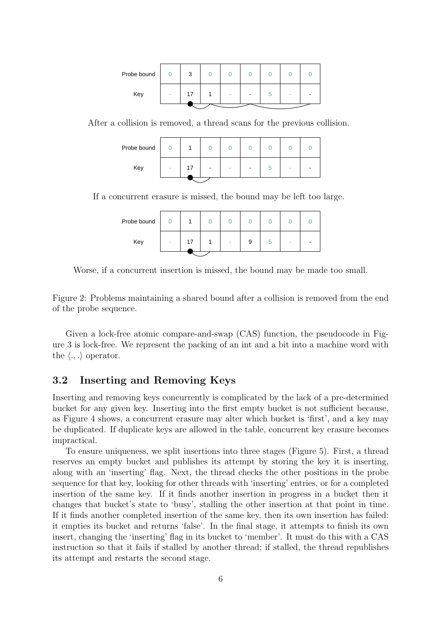| Probe bound | 3  |  |   |  |
|-------------|----|--|---|--|
| Key         | 17 |  | h |  |

After a collision is removed, a thread scans for the previous collision.

| Probe bound |   |    |  |  |   |  |
|-------------|---|----|--|--|---|--|
| Key         | ۰ | 17 |  |  | ۰ |  |

If a concurrent erasure is missed, the bound may be left too large.

| Probe bound |    |   |   |  |   |
|-------------|----|---|---|--|---|
| Key         | 17 | ۰ | 9 |  | - |

Worse, if a concurrent insertion is missed, the bound may be made too small.

Figure 2: Problems maintaining a shared bound after a collision is removed from the end of the probe sequence.

Given a lock-free atomic compare-and-swap (CAS) function, the pseudocode in Figure 3 is lock-free. We represent the packing of an int and a bit into a machine word with the  $\langle .,. \rangle$  operator.

### 3.2 Inserting and Removing Keys

Inserting and removing keys concurrently is complicated by the lack of a pre-determined bucket for any given key. Inserting into the first empty bucket is not sufficient because, as Figure 4 shows, a concurrent erasure may alter which bucket is 'first', and a key may be duplicated. If duplicate keys are allowed in the table, concurrent key erasure becomes impractical.

To ensure uniqueness, we split insertions into three stages (Figure 5). First, a thread reserves an empty bucket and publishes its attempt by storing the key it is inserting, along with an 'inserting' flag. Next, the thread checks the other positions in the probe sequence for that key, looking for other threads with 'inserting' entries, or for a completed insertion of the same key. If it finds another insertion in progress in a bucket then it changes that bucket's state to 'busy', stalling the other insertion at that point in time. If it finds another completed insertion of the same key, then its own insertion has failed: it empties its bucket and returns 'false'. In the final stage, it attempts to finish its own insert, changing the 'inserting' flag in its bucket to 'member'. It must do this with a CAS instruction so that it fails if stalled by another thread; if stalled, the thread republishes its attempt and restarts the second stage.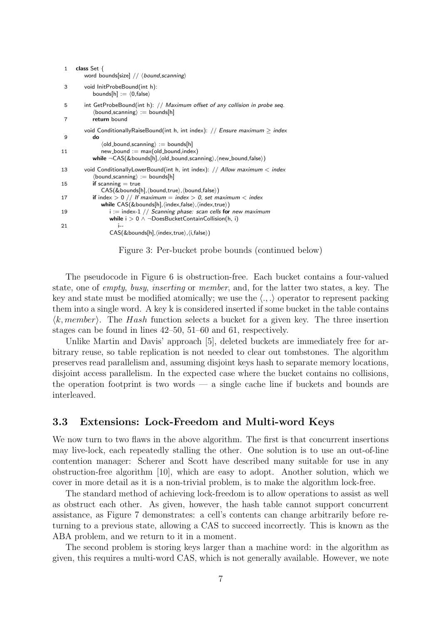| int GetProbeBound(int h): $//$ Maximum offset of any collision in probe seq.                         |
|------------------------------------------------------------------------------------------------------|
| void Conditionally Raise Bound (int h, int index): // Ensure maximum $\geq$ index                    |
|                                                                                                      |
|                                                                                                      |
|                                                                                                      |
| while $\neg CAS(\&bounds[h],\langle old\_bound,scanning \rangle, \langle new\_bound, false \rangle)$ |
| void Conditionally Lower Bound (int h, int index): $//$ Allow maximum $\lt$ index                    |
|                                                                                                      |
|                                                                                                      |
|                                                                                                      |
|                                                                                                      |
| $i :=$ index-1 // Scanning phase: scan cells for new maximum                                         |
|                                                                                                      |
|                                                                                                      |
|                                                                                                      |
|                                                                                                      |

Figure 3: Per-bucket probe bounds (continued below)

The pseudocode in Figure 6 is obstruction-free. Each bucket contains a four-valued state, one of empty, busy, inserting or member, and, for the latter two states, a key. The key and state must be modified atomically; we use the  $\langle .,.\rangle$  operator to represent packing them into a single word. A key k is considered inserted if some bucket in the table contains  $\langle k,member \rangle$ . The Hash function selects a bucket for a given key. The three insertion stages can be found in lines 42–50, 51–60 and 61, respectively.

Unlike Martin and Davis' approach [5], deleted buckets are immediately free for arbitrary reuse, so table replication is not needed to clear out tombstones. The algorithm preserves read parallelism and, assuming disjoint keys hash to separate memory locations, disjoint access parallelism. In the expected case where the bucket contains no collisions, the operation footprint is two words  $-$  a single cache line if buckets and bounds are interleaved.

#### 3.3 Extensions: Lock-Freedom and Multi-word Keys

We now turn to two flaws in the above algorithm. The first is that concurrent insertions may live-lock, each repeatedly stalling the other. One solution is to use an out-of-line contention manager: Scherer and Scott have described many suitable for use in any obstruction-free algorithm [10], which are easy to adopt. Another solution, which we cover in more detail as it is a non-trivial problem, is to make the algorithm lock-free.

The standard method of achieving lock-freedom is to allow operations to assist as well as obstruct each other. As given, however, the hash table cannot support concurrent assistance, as Figure 7 demonstrates: a cell's contents can change arbitrarily before returning to a previous state, allowing a CAS to succeed incorrectly. This is known as the ABA problem, and we return to it in a moment.

The second problem is storing keys larger than a machine word: in the algorithm as given, this requires a multi-word CAS, which is not generally available. However, we note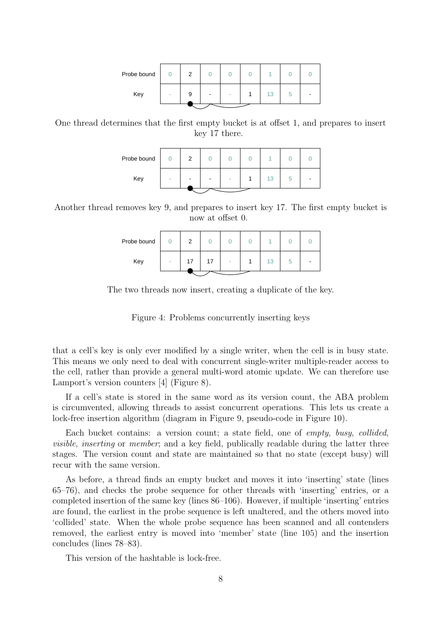| Probe bound | 2 |  |    |  |
|-------------|---|--|----|--|
| Key         | 9 |  | 13 |  |

One thread determines that the first empty bucket is at offset 1, and prepares to insert key 17 there.

| Probe bound | 2 |  |    |  |
|-------------|---|--|----|--|
| Key         |   |  | 13 |  |

Another thread removes key 9, and prepares to insert key 17. The first empty bucket is now at offset 0.

| Probe bound | 2  |    |   |    |                          |
|-------------|----|----|---|----|--------------------------|
| Key         | 17 | 17 | ۰ | 13 | $\overline{\phantom{a}}$ |

The two threads now insert, creating a duplicate of the key.

Figure 4: Problems concurrently inserting keys

that a cell's key is only ever modified by a single writer, when the cell is in busy state. This means we only need to deal with concurrent single-writer multiple-reader access to the cell, rather than provide a general multi-word atomic update. We can therefore use Lamport's version counters [4] (Figure 8).

If a cell's state is stored in the same word as its version count, the ABA problem is circumvented, allowing threads to assist concurrent operations. This lets us create a lock-free insertion algorithm (diagram in Figure 9, pseudo-code in Figure 10).

Each bucket contains: a version count; a state field, one of *empty*, *busy*, *collided*, visible, inserting or member; and a key field, publically readable during the latter three stages. The version count and state are maintained so that no state (except busy) will recur with the same version.

As before, a thread finds an empty bucket and moves it into 'inserting' state (lines 65–76), and checks the probe sequence for other threads with 'inserting' entries, or a completed insertion of the same key (lines 86–106). However, if multiple 'inserting' entries are found, the earliest in the probe sequence is left unaltered, and the others moved into 'collided' state. When the whole probe sequence has been scanned and all contenders removed, the earliest entry is moved into 'member' state (line 105) and the insertion concludes (lines 78–83).

This version of the hashtable is lock-free.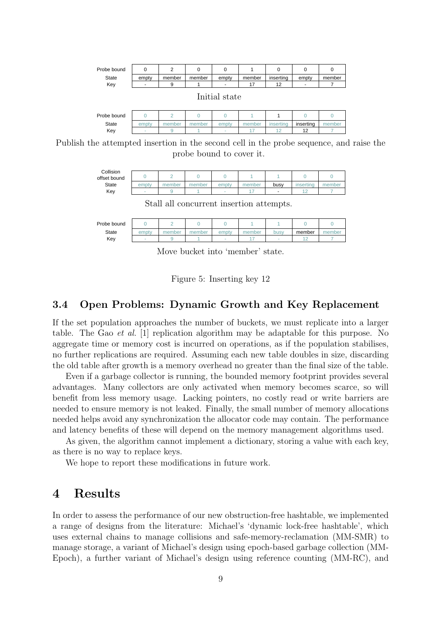| Probe bound   | $\Omega$ | 2      | $\Omega$ | 0     |        | 0         | 0                        | 0      |  |  |  |
|---------------|----------|--------|----------|-------|--------|-----------|--------------------------|--------|--|--|--|
| <b>State</b>  | empty    | member | member   | empty | member | inserting | empty                    | member |  |  |  |
| Key           |          | 9      |          |       | 17     | 12        | $\overline{\phantom{a}}$ |        |  |  |  |
| Initial state |          |        |          |       |        |           |                          |        |  |  |  |
| Probe bound   |          |        |          |       |        |           |                          |        |  |  |  |
| <b>State</b>  | empty    | member | member   | empty | member | inserting | inserting                | member |  |  |  |

Publish the attempted insertion in the second cell in the probe sequence, and raise the probe bound to cover it.

-

17

12

12

7

1

-

Key

9

| Collision    |       |        |        |       |        |      |           |        |
|--------------|-------|--------|--------|-------|--------|------|-----------|--------|
| offset bound |       |        |        |       |        |      |           |        |
| State        | empty | member | member | empty | member | busy | inserting | member |
| Kev          |       |        |        |       |        |      |           |        |

Stall all concurrent insertion attempts.

| Probe bound |       |        |        |       |        |      |        |        |
|-------------|-------|--------|--------|-------|--------|------|--------|--------|
| State       | empty | member | member | empty | member | busy | member | member |
| Key         |       |        |        |       |        | -    |        |        |

Move bucket into 'member' state.

Figure 5: Inserting key 12

#### 3.4 Open Problems: Dynamic Growth and Key Replacement

If the set population approaches the number of buckets, we must replicate into a larger table. The Gao et al. [1] replication algorithm may be adaptable for this purpose. No aggregate time or memory cost is incurred on operations, as if the population stabilises, no further replications are required. Assuming each new table doubles in size, discarding the old table after growth is a memory overhead no greater than the final size of the table.

Even if a garbage collector is running, the bounded memory footprint provides several advantages. Many collectors are only activated when memory becomes scarce, so will benefit from less memory usage. Lacking pointers, no costly read or write barriers are needed to ensure memory is not leaked. Finally, the small number of memory allocations needed helps avoid any synchronization the allocator code may contain. The performance and latency benefits of these will depend on the memory management algorithms used.

As given, the algorithm cannot implement a dictionary, storing a value with each key, as there is no way to replace keys.

We hope to report these modifications in future work.

### 4 Results

In order to assess the performance of our new obstruction-free hashtable, we implemented a range of designs from the literature: Michael's 'dynamic lock-free hashtable', which uses external chains to manage collisions and safe-memory-reclamation (MM-SMR) to manage storage, a variant of Michael's design using epoch-based garbage collection (MM-Epoch), a further variant of Michael's design using reference counting (MM-RC), and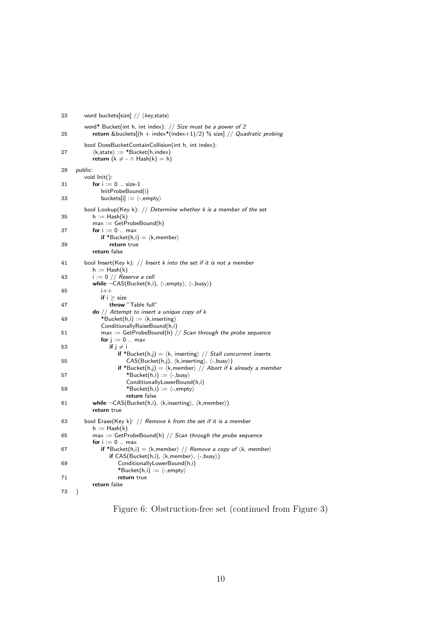| word buckets[size] $//$ $\langle key, state \rangle$                                                                                             |                                                                                                                                                                                                                                                                                                                                                                                                                                                                                                                                                                                                                                 |
|--------------------------------------------------------------------------------------------------------------------------------------------------|---------------------------------------------------------------------------------------------------------------------------------------------------------------------------------------------------------------------------------------------------------------------------------------------------------------------------------------------------------------------------------------------------------------------------------------------------------------------------------------------------------------------------------------------------------------------------------------------------------------------------------|
| word* Bucket(int h, int index): $//$ Size must be a power of 2<br>return & buckets[(h + index*(index+1)/2) % size] // Quadratic probing          |                                                                                                                                                                                                                                                                                                                                                                                                                                                                                                                                                                                                                                 |
| bool DoesBucketContainCollision(int h, int index):<br>$\langle k, state \rangle := *Bucket(h, index)$<br>return $(k \neq - \land$ Hash $(k) = h$ |                                                                                                                                                                                                                                                                                                                                                                                                                                                                                                                                                                                                                                 |
| public:                                                                                                                                          |                                                                                                                                                                                                                                                                                                                                                                                                                                                                                                                                                                                                                                 |
| for $i := 0$ size-1                                                                                                                              |                                                                                                                                                                                                                                                                                                                                                                                                                                                                                                                                                                                                                                 |
| buckets[i] $:= \langle -,\text{empty} \rangle$                                                                                                   |                                                                                                                                                                                                                                                                                                                                                                                                                                                                                                                                                                                                                                 |
| bool Lookup(Key k): $//$ Determine whether k is a member of the set<br>$h := Hash(k)$                                                            |                                                                                                                                                                                                                                                                                                                                                                                                                                                                                                                                                                                                                                 |
| for $i := 0$ max                                                                                                                                 |                                                                                                                                                                                                                                                                                                                                                                                                                                                                                                                                                                                                                                 |
| return true<br>return false                                                                                                                      |                                                                                                                                                                                                                                                                                                                                                                                                                                                                                                                                                                                                                                 |
| bool Insert(Key k): $//$ Insert k into the set if it is not a member                                                                             |                                                                                                                                                                                                                                                                                                                                                                                                                                                                                                                                                                                                                                 |
| $i := 0 //$ Reserve a cell<br>while $\neg CAS(Bucker(h,i), \langle \neg, empty \rangle, \langle \neg, busy \rangle)$                             |                                                                                                                                                                                                                                                                                                                                                                                                                                                                                                                                                                                                                                 |
| $i++$<br>if $i >$ size                                                                                                                           |                                                                                                                                                                                                                                                                                                                                                                                                                                                                                                                                                                                                                                 |
|                                                                                                                                                  |                                                                                                                                                                                                                                                                                                                                                                                                                                                                                                                                                                                                                                 |
| *Bucket(h,i) := $\langle$ k,inserting $\rangle$                                                                                                  |                                                                                                                                                                                                                                                                                                                                                                                                                                                                                                                                                                                                                                 |
| $max := GetProblem(d) // Scan through the probe sequence$                                                                                        |                                                                                                                                                                                                                                                                                                                                                                                                                                                                                                                                                                                                                                 |
| if $j \neq i$                                                                                                                                    |                                                                                                                                                                                                                                                                                                                                                                                                                                                                                                                                                                                                                                 |
| $CAS(Bucker(h,j), \langle k, inserting \rangle, \langle -, busy \rangle)$                                                                        |                                                                                                                                                                                                                                                                                                                                                                                                                                                                                                                                                                                                                                 |
| *Bucket(h,i) := $\langle$ -,busy $\rangle$                                                                                                       |                                                                                                                                                                                                                                                                                                                                                                                                                                                                                                                                                                                                                                 |
| *Bucket(h,i) := $\langle$ -,empty $\rangle$                                                                                                      |                                                                                                                                                                                                                                                                                                                                                                                                                                                                                                                                                                                                                                 |
| while $\neg CAS(Bucker(h,i), \langle k, inserting \rangle, \langle k, member \rangle)$<br>return true                                            |                                                                                                                                                                                                                                                                                                                                                                                                                                                                                                                                                                                                                                 |
| bool Erase(Key k): $//$ Remove k from the set if it is a member                                                                                  |                                                                                                                                                                                                                                                                                                                                                                                                                                                                                                                                                                                                                                 |
| $max := GetProblem(d) // Scan through the probe sequence$                                                                                        |                                                                                                                                                                                                                                                                                                                                                                                                                                                                                                                                                                                                                                 |
| if *Bucket(h,i) = $\langle k,$ member $\rangle$ // Remove a copy of $\langle k,$ member $\rangle$                                                |                                                                                                                                                                                                                                                                                                                                                                                                                                                                                                                                                                                                                                 |
| ConditionallyLowerBound(h,i)<br>*Bucket(h,i) := $\langle$ -,empty $\rangle$                                                                      |                                                                                                                                                                                                                                                                                                                                                                                                                                                                                                                                                                                                                                 |
| return true                                                                                                                                      |                                                                                                                                                                                                                                                                                                                                                                                                                                                                                                                                                                                                                                 |
| ł                                                                                                                                                |                                                                                                                                                                                                                                                                                                                                                                                                                                                                                                                                                                                                                                 |
|                                                                                                                                                  | void $Init()$ :<br>InitProbeBound(i)<br>$max := GetProbeBound(h)$<br>if *Bucket(h,i) = $\langle$ k,member $\rangle$<br>$h := Hash(k)$<br>throw "Table full"<br>$\frac{1}{2}$ of <i>N</i> attempt to insert a unique copy of k<br>ConditionallyRaiseBound(h,i)<br>for $i := 0$ max<br>if *Bucket(h,j) = $\langle k,$ inserting) // Stall concurrent inserts<br>if *Bucket(h,j) = $\langle k,$ member $\rangle$ // Abort if k already a member<br>ConditionallyLowerBound(h,i)<br>return false<br>$h := Hash(k)$<br>for $i := 0$ max<br>if $CAS(Bucker(h,i), \langle k, member \rangle, \langle -, busy \rangle)$<br>return false |

Figure 6: Obstruction-free set (continued from Figure 3)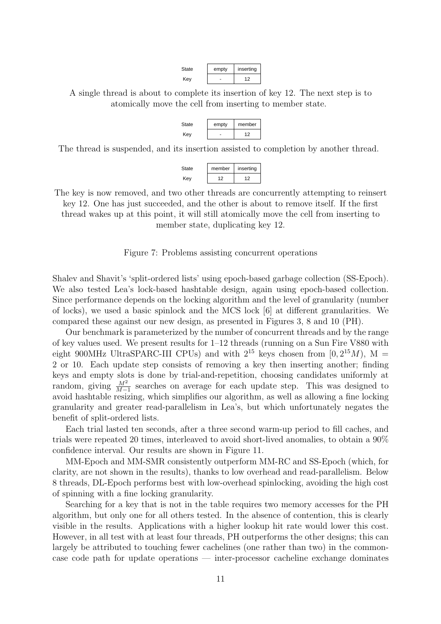| State | empty | inserting |
|-------|-------|-----------|
| Key   |       | 12        |

A single thread is about to complete its insertion of key 12. The next step is to atomically move the cell from inserting to member state.



The thread is suspended, and its insertion assisted to completion by another thread.

| State | member | inserting |
|-------|--------|-----------|
| Key   |        | 12        |

The key is now removed, and two other threads are concurrently attempting to reinsert key 12. One has just succeeded, and the other is about to remove itself. If the first thread wakes up at this point, it will still atomically move the cell from inserting to member state, duplicating key 12.

Figure 7: Problems assisting concurrent operations

Shalev and Shavit's 'split-ordered lists' using epoch-based garbage collection (SS-Epoch). We also tested Lea's lock-based hashtable design, again using epoch-based collection. Since performance depends on the locking algorithm and the level of granularity (number of locks), we used a basic spinlock and the MCS lock [6] at different granularities. We compared these against our new design, as presented in Figures 3, 8 and 10 (PH).

Our benchmark is parameterized by the number of concurrent threads and by the range of key values used. We present results for 1–12 threads (running on a Sun Fire V880 with eight 900MHz UltraSPARC-III CPUs) and with  $2^{15}$  keys chosen from  $[0, 2^{15}M)$ , M = 2 or 10. Each update step consists of removing a key then inserting another; finding keys and empty slots is done by trial-and-repetition, choosing candidates uniformly at random, giving  $\frac{M^2}{M-1}$  searches on average for each update step. This was designed to avoid hashtable resizing, which simplifies our algorithm, as well as allowing a fine locking granularity and greater read-parallelism in Lea's, but which unfortunately negates the benefit of split-ordered lists.

Each trial lasted ten seconds, after a three second warm-up period to fill caches, and trials were repeated 20 times, interleaved to avoid short-lived anomalies, to obtain a 90% confidence interval. Our results are shown in Figure 11.

MM-Epoch and MM-SMR consistently outperform MM-RC and SS-Epoch (which, for clarity, are not shown in the results), thanks to low overhead and read-parallelism. Below 8 threads, DL-Epoch performs best with low-overhead spinlocking, avoiding the high cost of spinning with a fine locking granularity.

Searching for a key that is not in the table requires two memory accesses for the PH algorithm, but only one for all others tested. In the absence of contention, this is clearly visible in the results. Applications with a higher lookup hit rate would lower this cost. However, in all test with at least four threads, PH outperforms the other designs; this can largely be attributed to touching fewer cachelines (one rather than two) in the commoncase code path for update operations — inter-processor cacheline exchange dominates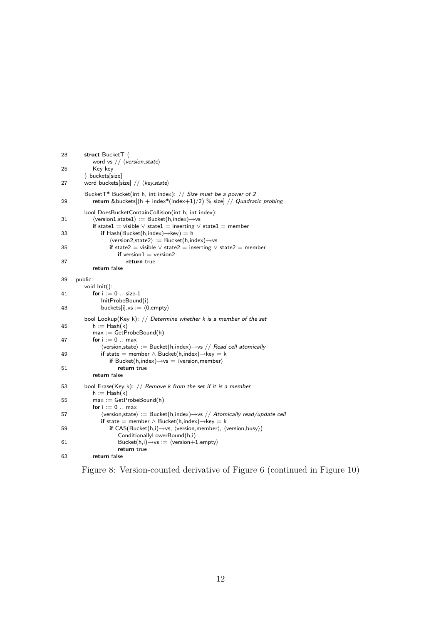| 23 | struct BucketT {<br>word vs $//$ (version, state)                                                                                                                                                   |  |
|----|-----------------------------------------------------------------------------------------------------------------------------------------------------------------------------------------------------|--|
| 25 | Key key                                                                                                                                                                                             |  |
|    | } buckets[size]                                                                                                                                                                                     |  |
| 27 | word buckets[size] $//$ $\langle key, state \rangle$                                                                                                                                                |  |
| 29 | Bucket $T^*$ Bucket(int h, int index): // Size must be a power of 2<br>return & buckets[(h + index*(index+1)/2) % size] // Quadratic probing                                                        |  |
| 31 | bool DoesBucketContainCollision(int h, int index):<br>$\langle version1, state1 \rangle := Bucket(h, index) \rightarrow vs$<br>if state1 = visible $\vee$ state1 = inserting $\vee$ state1 = member |  |
| 33 | if $Hash(Bucker(h, index) \rightarrow key) = h$<br>$\langle version2, state2 \rangle := Bucket(h, index) \rightarrow vs$                                                                            |  |
| 35 | if state2 = visible $\vee$ state2 = inserting $\vee$ state2 = member<br>if version $1 =$ version2                                                                                                   |  |
| 37 | return true                                                                                                                                                                                         |  |
|    | return false                                                                                                                                                                                        |  |
| 39 | public:                                                                                                                                                                                             |  |
|    | void Init():                                                                                                                                                                                        |  |
| 41 | for $i := 0$ size-1                                                                                                                                                                                 |  |
|    | InitProbeBound(i)                                                                                                                                                                                   |  |
| 43 | buckets[i].vs := $\langle 0, \text{empty} \rangle$                                                                                                                                                  |  |
|    | bool Lookup(Key k): $//$ Determine whether k is a member of the set                                                                                                                                 |  |
| 45 | $h := Hash(k)$                                                                                                                                                                                      |  |
|    | $max := GetProblem( h )$                                                                                                                                                                            |  |
| 47 | for $i := 0$ max                                                                                                                                                                                    |  |
| 49 | $\langle$ version, state $\rangle :=$ Bucket(h, index) $\rightarrow$ vs // Read cell atomically<br>if state = member $\land$ Bucket(h,index) $\rightarrow$ key = k                                  |  |
|    | if Bucket(h,index) $\rightarrow$ vs = $\langle$ version, member $\rangle$                                                                                                                           |  |
| 51 | return true                                                                                                                                                                                         |  |
|    | return false                                                                                                                                                                                        |  |
| 53 | bool Erase(Key k): $//$ Remove k from the set if it is a member<br>$h := Hash(k)$                                                                                                                   |  |
| 55 | $max := GetProblem( h )$                                                                                                                                                                            |  |
|    | for $i := 0$ max                                                                                                                                                                                    |  |
| 57 | $\langle version, state \rangle := Bucket(h, index) \rightarrow vs // Atomically read/update cell$<br>if state = member $\land$ Bucket(h,index) $\rightarrow$ key = k                               |  |
| 59 | if $CAS(Bucker(h,i) \rightarrow vs, \langle version, member \rangle, \langle version, busy \rangle)$<br>ConditionallyLowerBound(h,i)                                                                |  |
| 61 | Bucket(h,i) $\rightarrow$ vs := $\langle$ version+1,empty $\rangle$                                                                                                                                 |  |
|    | return true                                                                                                                                                                                         |  |
| 63 | return false                                                                                                                                                                                        |  |

Figure 8: Version-counted derivative of Figure 6 (continued in Figure 10)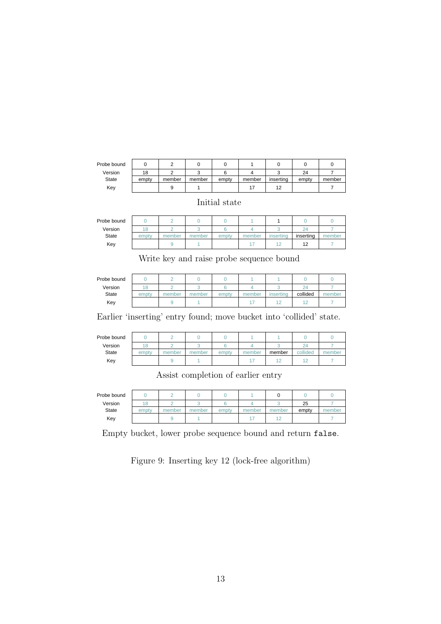| Probe bound  |       |        |        |       |                          |           |       |        |
|--------------|-------|--------|--------|-------|--------------------------|-----------|-------|--------|
| Version      | 18    |        |        |       |                          |           | 24    |        |
| <b>State</b> | empty | member | member | empty | member                   | inserting | empty | member |
| Key          |       |        |        |       | $\overline{\phantom{0}}$ | 12        |       |        |

| Probe bound  |       |        |        |       |        |           |           |        |
|--------------|-------|--------|--------|-------|--------|-----------|-----------|--------|
| Version      | 18    |        |        |       |        |           | 24        |        |
| <b>State</b> | empty | member | member | empty | member | inserting | inserting | member |
| Key          |       |        |        |       | $-17$  | 4.0       | 12        |        |

Initial state

Write key and raise probe sequence bound

| Probe bound  |       |        |        |       |        |           |          |        |
|--------------|-------|--------|--------|-------|--------|-----------|----------|--------|
| Version      |       |        |        |       |        |           | 24       |        |
| <b>State</b> | empty | member | member | empty | member | inserting | collided | member |
| Key          |       |        |        |       |        |           |          |        |

Earlier 'inserting' entry found; move bucket into 'collided' state.

| Probe bound  |       |        |        |       |        |        |          |        |
|--------------|-------|--------|--------|-------|--------|--------|----------|--------|
| Version      |       |        |        |       |        |        |          |        |
| <b>State</b> | empty | member | member | empty | member | member | collided | member |
| Key          |       |        |        |       |        |        |          |        |

Assist completion of earlier entry

| Probe bound  |       |        |        |       |        |        |       |        |
|--------------|-------|--------|--------|-------|--------|--------|-------|--------|
| Version      |       |        |        |       |        |        | 25    |        |
| <b>State</b> | empty | member | member | empty | member | member | empty | member |
| Key          |       |        |        |       |        |        |       |        |

Empty bucket, lower probe sequence bound and return false.

Figure 9: Inserting key 12 (lock-free algorithm)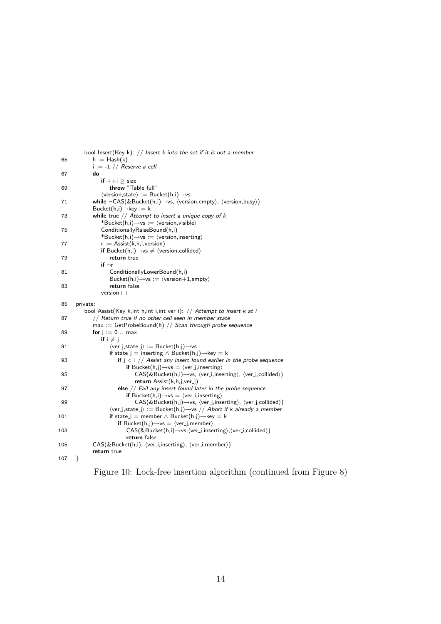|     | bool Insert(Key k): $//$ Insert k into the set if it is not a member                                          |
|-----|---------------------------------------------------------------------------------------------------------------|
| 65  | $h := Hash(k)$                                                                                                |
|     | $i := -1$ // Reserve a cell                                                                                   |
| 67  | do                                                                                                            |
|     | if $++i \geq$ size                                                                                            |
| 69  | throw "Table full"                                                                                            |
|     | $\langle version, state \rangle := Bucket(h,i) \rightarrow vs$                                                |
| 71  | while $\neg CAS(\&Bucker(h,i) \rightarrow vs, \langle version, empty \rangle, \langle version, busy \rangle)$ |
|     | Bucket $(h,i) \rightarrow key := k$                                                                           |
| 73  | while true $//$ Attempt to insert a unique copy of $k$                                                        |
|     | *Bucket(h,i) $\rightarrow$ vs := $\langle$ version,visible $\rangle$                                          |
|     |                                                                                                               |
| 75  | ConditionallyRaiseBound(h,i)                                                                                  |
|     | *Bucket(h,i) $\rightarrow$ vs := $\langle$ version,inserting $\rangle$                                        |
| 77  | $r :=$ Assist(k,h,i,version)                                                                                  |
|     | if Bucket(h,i) $\rightarrow$ vs $\neq$ (version, collided)                                                    |
| 79  | return true                                                                                                   |
|     | if $\neg r$                                                                                                   |
| 81  | ConditionallyLowerBound(h,i)                                                                                  |
|     | $Bucket(h,i) \rightarrow vs := \langle version+1, empty \rangle$                                              |
| 83  | return false                                                                                                  |
|     | $version++$                                                                                                   |
| 85  | private:                                                                                                      |
|     | bool Assist(Key k, int h, int i, int ver i): $//$ Attempt to insert k at i                                    |
| 87  | $//$ Return true if no other cell seen in member state                                                        |
|     | $max := GetProblem(d) // Scan through probe sequence$                                                         |
| 89  | for $j := 0$ max                                                                                              |
|     | if i $\neq$ i                                                                                                 |
| 91  | $\langle$ ver_j,state_j $\rangle :=$ Bucket $(h,j) \rightarrow v s$                                           |
|     | if state $j =$ inserting $\land$ Bucket $(h, j) \rightarrow key = k$                                          |
| 93  | if $j < i$ // Assist any insert found earlier in the probe sequence                                           |
|     | if Bucket(h,j) $\rightarrow$ vs = $\langle$ ver_j,inserting $\rangle$                                         |
| 95  | $CAS(&Bucket(h,i) \rightarrow vs, \langle ver_i, inserting \rangle, \langle ver_i, collided \rangle)$         |
|     | return $\text{Assist}(k, h, j, \text{ver}_i)$                                                                 |
| 97  | else $//$ Fail any insert found later in the probe sequence                                                   |
|     | if Bucket(h,i) $\rightarrow$ vs = $\langle$ ver_i,inserting $\rangle$                                         |
| 99  | $CAS(&Bucket(h,j) \rightarrow vs, \langle ver_j, inserting \rangle, \langle ver_j, collided \rangle)$         |
|     | $\langle$ ver_j,state_j $\rangle :=$ Bucket(h,j) $\rightarrow$ vs // Abort if k already a member              |
| 101 | <b>if</b> state_j = member $\land$ Bucket(h,j) $\rightarrow$ key = k                                          |
|     | if Bucket $(h,j) \rightarrow vs = \langle ver_j, member \rangle$                                              |
| 103 | $CAS(&Bucker(h,i) \rightarrow vs, \langle ver_i, inserting \rangle, \langle ver_i, collided \rangle)$         |
|     | return false                                                                                                  |
| 105 | $CAS(&Bucker(h,i), \langle ver_i, inserting \rangle, \langle ver_i, member \rangle)$                          |
|     | return true                                                                                                   |
| 107 | }                                                                                                             |
|     |                                                                                                               |

Figure 10: Lock-free insertion algorithm (continued from Figure 8)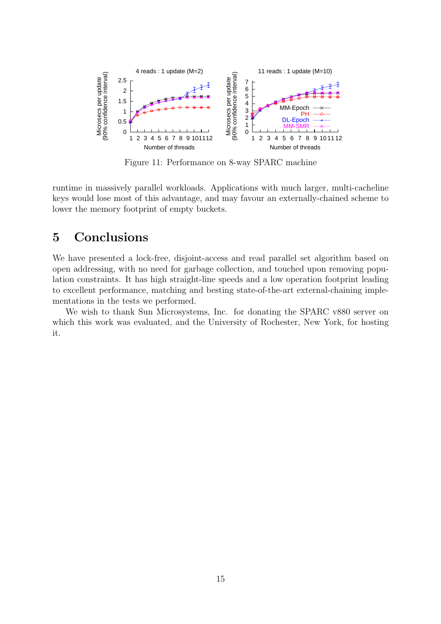

Figure 11: Performance on 8-way SPARC machine

runtime in massively parallel workloads. Applications with much larger, multi-cacheline keys would lose most of this advantage, and may favour an externally-chained scheme to lower the memory footprint of empty buckets.

## 5 Conclusions

We have presented a lock-free, disjoint-access and read parallel set algorithm based on open addressing, with no need for garbage collection, and touched upon removing population constraints. It has high straight-line speeds and a low operation footprint leading to excellent performance, matching and besting state-of-the-art external-chaining implementations in the tests we performed.

We wish to thank Sun Microsystems, Inc. for donating the SPARC v880 server on which this work was evaluated, and the University of Rochester, New York, for hosting it.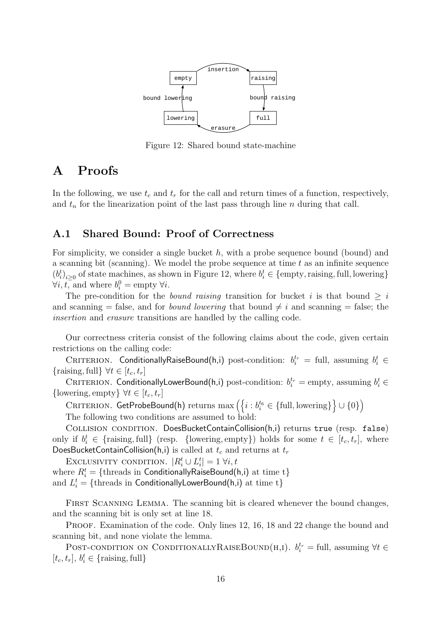

Figure 12: Shared bound state-machine

## A Proofs

In the following, we use  $t_c$  and  $t_r$  for the call and return times of a function, respectively, and  $t_n$  for the linearization point of the last pass through line n during that call.

#### A.1 Shared Bound: Proof of Correctness

For simplicity, we consider a single bucket  $h$ , with a probe sequence bound (bound) and a scanning bit (scanning). We model the probe sequence at time  $t$  as an infinite sequence  $(b_i^t)_{i\geq 0}$  of state machines, as shown in Figure 12, where  $b_i^t \in \{\text{empty, raising, full, lowering}\}\$  $\forall i, t, \text{ and where } b_i^0 = \text{empty } \forall i.$ 

The pre-condition for the *bound raising* transition for bucket i is that bound  $\geq i$ and scanning = false, and for *bound lowering* that bound  $\neq i$  and scanning = false; the insertion and erasure transitions are handled by the calling code.

Our correctness criteria consist of the following claims about the code, given certain restrictions on the calling code:

CRITERION. ConditionallyRaiseBound(h,i) post-condition:  $b_i^{t_r} = \text{full}$ , assuming  $b_i^t \in$ {raising, full}  $\forall t \in [t_c, t_r]$ 

CRITERION. ConditionallyLowerBound(h,i) post-condition:  $b_i^{t_r} = \text{empty, assuming } b_i^t \in$  $\{ \text{lowering}, \text{empty} \}$   $\forall t \in [t_c, t_r]$ 

CRITERION. GetProbeBound(h) returns  $\max\left(\left\{i : b_i^{t_6} \in \left\{ \text{full}, \text{lowering} \right\} \right\} \cup \left\{0\right\} \right)$ 

The following two conditions are assumed to hold:

COLLISION CONDITION. DoesBucketContainCollision(h,i) returns true (resp. false) only if  $b_i^t \in \{\text{raising}, \text{full}\}\$  (resp.  $\{\text{lowering}, \text{empty}\}\)$  holds for some  $t \in [t_c, t_r]$ , where DoesBucketContainCollision(h,i) is called at  $t_c$  and returns at  $t_r$ 

EXCLUSIVITY CONDITION.  $|R_i^t \cup L_i^t| = 1 \; \forall i, t$ where  $R_i^t = \{\text{threads in } \textsf{ConditionallyRaiseBound(h,i)} \text{ at time t}\}$ and  $L_i^t = \{\text{threads in } \textsf{ConditionallyLowerBound(h,i)} \text{ at time t}\}$ 

FIRST SCANNING LEMMA. The scanning bit is cleared whenever the bound changes, and the scanning bit is only set at line 18.

PROOF. Examination of the code. Only lines 12, 16, 18 and 22 change the bound and scanning bit, and none violate the lemma.

POST-CONDITION ON CONDITIONALLYRAISEBOUND(H,I).  $b_i^{t_r} = \text{full}$ , assuming  $\forall t \in$  $[t_c, t_r]$ ,  $b_i^t \in \{\text{raising}, \text{full}\}$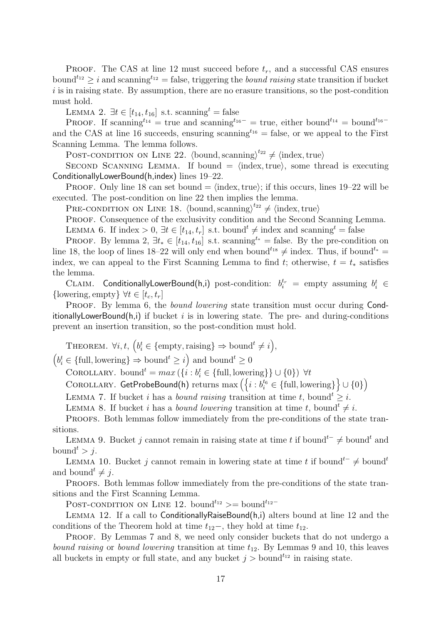PROOF. The CAS at line 12 must succeed before  $t_r$ , and a successful CAS ensures bound<sup>t<sub>12</sub></sup>  $> i$  and scanning<sup>t<sub>12</sub></sub> = false, triggering the *bound raising* state transition if bucket</sup>  $i$  is in raising state. By assumption, there are no erasure transitions, so the post-condition must hold.

LEMMA 2.  $\exists t \in [t_{14}, t_{16}]$  s.t. scanning<sup>t</sup> = false

PROOF. If scanning<sup>t<sub>14</sub></sup> = true and scanning<sup>t<sub>16</sub><sup>-</sup> = true, either bound<sup>t<sub>14</sub></sup> = bound<sup>t<sub>16</sub><sup>-</sup></sup></sup> and the CAS at line 16 succeeds, ensuring scanning<sup>t<sub>16</sub> = false, or we appeal to the First</sup> Scanning Lemma. The lemma follows.

POST-CONDITION ON LINE 22. (bound, scanning)<sup> $t_{22} \neq \langle \text{index}, \text{true} \rangle$ </sup>

SECOND SCANNING LEMMA. If bound  $=$  (index, true), some thread is executing ConditionallyLowerBound(h,index) lines 19–22.

**PROOF.** Only line 18 can set bound  $=$   $\langle \text{index}, \text{true} \rangle$ ; if this occurs, lines 19–22 will be executed. The post-condition on line 22 then implies the lemma.

PRE-CONDITION ON LINE 18. (bound, scanning)<sup> $t_{22} \neq \langle \text{index}, \text{true} \rangle$ </sup>

PROOF. Consequence of the exclusivity condition and the Second Scanning Lemma. LEMMA 6. If index > 0,  $\exists t \in [t_{14}, t_r]$  s.t. bound<sup>t</sup>  $\neq$  index and scanning<sup>t</sup> = false

PROOF. By lemma 2,  $\exists t_* \in [t_{14}, t_{16}]$  s.t. scanning<sup>t</sup><sup>\*</sup> = false. By the pre-condition on line 18, the loop of lines 18–22 will only end when bound<sup>t<sub>18</sub></sup>  $\neq$  index. Thus, if bound<sup>t∗</sup> = index, we can appeal to the First Scanning Lemma to find t; otherwise,  $t = t_*$  satisfies the lemma.

CLAIM. ConditionallyLowerBound(h,i) post-condition:  $b_i^{tr} = \text{empty assuming } b_i^t \in$ {lowering, empty}  $\forall t \in [t_c, t_r]$ 

PROOF. By lemma 6, the *bound lowering* state transition must occur during ConditionallyLowerBound(h,i) if bucket i is in lowering state. The pre- and during-conditions prevent an insertion transition, so the post-condition must hold.

THEOREM.  $\forall i, t, \left( b_i^t \in \{\text{empty, raising}\} \Rightarrow \text{bound}^t \neq i \right),$ 

 $b_i^t \in \{\text{full}, \text{lowering}\} \Rightarrow \text{bound}^t \geq i$  and  $\text{bound}^t \geq 0$ 

COROLLARY. bound<sup>t</sup> =  $max(\{i : b_i^t \in \{\text{full}, \text{lowering}\}\} \cup \{0\}) \ \forall t$ 

COROLLARY. GetProbeBound(h) returns  $\max\left(\left\{i : b_i^{t_6} \in \text{{full},\text{lowering}}\right\}\right] \cup \{0\}\right)$ 

LEMMA 7. If bucket i has a *bound raising* transition at time t, bound<sup>t</sup>  $\geq i$ .

LEMMA 8. If bucket i has a *bound lowering* transition at time t, bound<sup>t</sup>  $\neq i$ .

PROOFS. Both lemmas follow immediately from the pre-conditions of the state transitions.

LEMMA 9. Bucket j cannot remain in raising state at time t if bound<sup>t–</sup>  $\neq$  bound<sup>t</sup> and bound<sup> $t$ </sup> >  $i$ .

LEMMA 10. Bucket j cannot remain in lowering state at time t if bound<sup>t–</sup>  $\neq$  bound<sup>t</sup> and bound<sup> $t \neq j$ </sup>.

PROOFS. Both lemmas follow immediately from the pre-conditions of the state transitions and the First Scanning Lemma.

POST-CONDITION ON LINE 12. bound<sup>t12</sup> >= bound<sup>t12−</sup>

Lemma 12. If a call to ConditionallyRaiseBound(h,i) alters bound at line 12 and the conditions of the Theorem hold at time  $t_{12}$ −, they hold at time  $t_{12}$ .

PROOF. By Lemmas 7 and 8, we need only consider buckets that do not undergo a bound raising or bound lowering transition at time  $t_{12}$ . By Lemmas 9 and 10, this leaves all buckets in empty or full state, and any bucket  $j >$  bound<sup>t<sub>12</sub></sup> in raising state.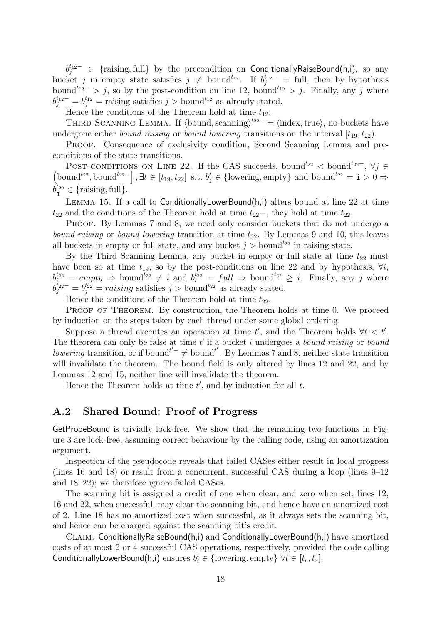$b_j^{t_{12}-}$  ∈ {raising, full} by the precondition on ConditionallyRaiseBound(h,i), so any bucket j in empty state satisfies  $j \neq$  bound<sup>t<sub>12</sub></sup>. If  $b_j^{t_{12}-} =$  full, then by hypothesis bound<sup>t<sub>12</sub>−</sup> > j, so by the post-condition on line 12, bound<sup>t<sub>12</sub></sup> > j. Finally, any j where  $b_j^{t_{12}} = b_j^{t_{12}} = \text{raising satisfies } j > \text{bound}^{t_{12}} \text{ as already stated.}$ 

Hence the conditions of the Theorem hold at time  $t_{12}$ .

THIRD SCANNING LEMMA. If  $\langle$  bound, scanning)<sup>t22−</sup> =  $\langle$  index, true $\rangle$ , no buckets have undergone either *bound raising* or *bound lowering* transitions on the interval  $[t_{19}, t_{22})$ .

PROOF. Consequence of exclusivity condition, Second Scanning Lemma and preconditions of the state transitions.

POST-CONDITIONS ON LINE 22. If the CAS succeeds, bound<sup>t<sub>22</sub></sup> < bound<sup>t<sub>22</sub></sub>  $\forall j \in$  (bound<sup>t<sub>22</sub></sup>, bound<sup>t<sub>22</sub></sub> = i > 0 ⇒</sup></sup>  $b_{\mathbf{i}}^{t_{20}} \in {\text{raising, full}}.$ 

Lemma 15. If a call to ConditionallyLowerBound(h,i) alters bound at line 22 at time  $t_{22}$  and the conditions of the Theorem hold at time  $t_{22}$ –, they hold at time  $t_{22}$ .

PROOF. By Lemmas 7 and 8, we need only consider buckets that do not undergo a bound raising or bound lowering transition at time  $t_{22}$ . By Lemmas 9 and 10, this leaves all buckets in empty or full state, and any bucket  $j >$  bound<sup>t<sub>22</sub></sup> in raising state.

By the Third Scanning Lemma, any bucket in empty or full state at time  $t_{22}$  must have been so at time  $t_{19}$ , so by the post-conditions on line 22 and by hypothesis,  $\forall i$ ,  $b_i^{t_{22}} = empty \Rightarrow bound^{t_{22}} \neq i$  and  $b_i^{t_{22}} = full \Rightarrow bound^{t_{22}} \geq i$ . Finally, any j where  $b_j^{t_{22}} = b_j^{t_{22}} = raising \text{ satisfies } j > bound^{t_{22}} \text{ as already stated.}$ 

Hence the conditions of the Theorem hold at time  $t_{22}$ .

PROOF OF THEOREM. By construction, the Theorem holds at time 0. We proceed by induction on the steps taken by each thread under some global ordering.

Suppose a thread executes an operation at time  $t'$ , and the Theorem holds  $\forall t \leq t'$ . The theorem can only be false at time  $t'$  if a bucket i undergoes a *bound raising* or *bound* lowering transition, or if bound<sup>t'-</sup>  $\neq$  bound<sup>t'</sup>. By Lemmas 7 and 8, neither state transition will invalidate the theorem. The bound field is only altered by lines 12 and 22, and by Lemmas 12 and 15, neither line will invalidate the theorem.

Hence the Theorem holds at time  $t'$ , and by induction for all  $t$ .

#### A.2 Shared Bound: Proof of Progress

GetProbeBound is trivially lock-free. We show that the remaining two functions in Figure 3 are lock-free, assuming correct behaviour by the calling code, using an amortization argument.

Inspection of the pseudocode reveals that failed CASes either result in local progress (lines 16 and 18) or result from a concurrent, successful CAS during a loop (lines 9–12 and 18–22); we therefore ignore failed CASes.

The scanning bit is assigned a credit of one when clear, and zero when set; lines 12, 16 and 22, when successful, may clear the scanning bit, and hence have an amortized cost of 2. Line 18 has no amortized cost when successful, as it always sets the scanning bit, and hence can be charged against the scanning bit's credit.

Claim. ConditionallyRaiseBound(h,i) and ConditionallyLowerBound(h,i) have amortized costs of at most 2 or 4 successful CAS operations, respectively, provided the code calling ConditionallyLowerBound(h,i) ensures  $b_i^t \in \{\text{lowering}, \text{empty}\} \; \forall t \in [t_c, t_r].$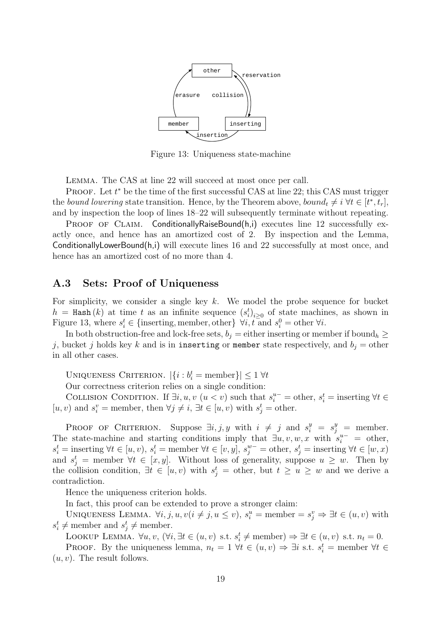

Figure 13: Uniqueness state-machine

Lemma. The CAS at line 22 will succeed at most once per call.

PROOF. Let  $t^*$  be the time of the first successful CAS at line 22; this CAS must trigger the bound lowering state transition. Hence, by the Theorem above, bound $t \neq i \ \forall t \in [t^*, t_r]$ , and by inspection the loop of lines 18–22 will subsequently terminate without repeating.

PROOF OF CLAIM. ConditionallyRaiseBound $(h,i)$  executes line 12 successfully exactly once, and hence has an amortized cost of 2. By inspection and the Lemma, ConditionallyLowerBound(h,i) will execute lines 16 and 22 successfully at most once, and hence has an amortized cost of no more than 4.

#### A.3 Sets: Proof of Uniqueness

For simplicity, we consider a single key  $k$ . We model the probe sequence for bucket  $h =$  Hash  $(k)$  at time t as an infinite sequence  $(s_i^t)_{i \geq 0}$  of state machines, as shown in Figure 13, where  $s_i^t \in \{\text{inserting}, \text{member}, \text{other}\}$   $\forall i, t$  and  $s_i^0 = \text{other } \forall i$ .

In both obstruction-free and lock-free sets,  $b_i =$  either inserting or member if bound<sub>h</sub>  $\geq$ j, bucket j holds key k and is in inserting or member state respectively, and  $b_j =$  other in all other cases.

UNIQUENESS CRITERION.  $|\{i : b_i^t = \text{member}\}| \leq 1 \ \forall t$ 

Our correctness criterion relies on a single condition:

COLLISION CONDITION. If  $\exists i, u, v \ (u \lt v)$  such that  $s_i^{u-} =$  other,  $s_i^t =$  inserting  $\forall t \in$  $[u, v]$  and  $s_i^v$  = member, then  $\forall j \neq i$ ,  $\exists t \in [u, v)$  with  $s_j^t$  = other.

PROOF OF CRITERION. Suppose  $\exists i, j, y$  with  $i \neq j$  and  $s_i^y = s_j^y$  = member. The state-machine and starting conditions imply that  $\exists u, v, w, x$  with  $s_i^{u-} =$  other,  $s_i^t = \text{inserting } \forall t \in [u, v), s_i^t = \text{member } \forall t \in [v, y], s_j^{w^-} = \text{other}, s_j^t = \text{inserting } \forall t \in [w, x)$ and  $s_j^t$  = member  $\forall t \in [x, y]$ . Without loss of generality, suppose  $u \geq w$ . Then by the collision condition,  $\exists t \in [u, v)$  with  $s_j^t = \text{other}$ , but  $t \geq u \geq w$  and we derive a contradiction.

Hence the uniqueness criterion holds.

In fact, this proof can be extended to prove a stronger claim:

UNIQUENESS LEMMA.  $\forall i, j, u, v (i \neq j, u \leq v)$ ,  $s_i^u$  = member =  $s_j^v \Rightarrow \exists t \in (u, v)$  with  $s_i^t \neq$  member and  $s_j^t \neq$  member.

LOOKUP LEMMA.  $\forall u, v, (\forall i, \exists t \in (u, v) \text{ s.t. } s_i^t \neq \text{member}) \Rightarrow \exists t \in (u, v) \text{ s.t. } n_t = 0.$ 

PROOF. By the uniqueness lemma,  $n_t = 1 \ \forall t \in (u, v) \Rightarrow \exists i \text{ s.t. } s_i^t = \text{member } \forall t \in$  $(u, v)$ . The result follows.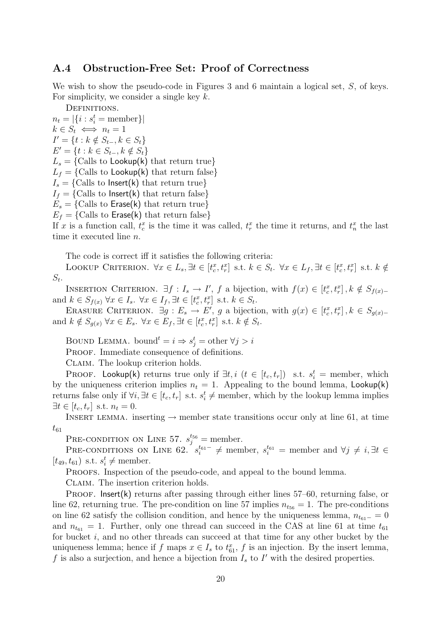#### A.4 Obstruction-Free Set: Proof of Correctness

We wish to show the pseudo-code in Figures 3 and 6 maintain a logical set, S, of keys. For simplicity, we consider a single key k.

DEFINITIONS.

 $n_t = |\{i : s_i^t = \text{member}\}|$  $k \in S_t \iff n_t = 1$  $I' = \{t : k \notin S_{t-}, k \in S_t\}$  $E' = \{t : k \in S_{t-}, k \notin S_t\}$  $L_s = \{$ Calls to Lookup(k) that return true}  $L_f = \{$ Calls to Lookup(k) that return false}  $I_s = \{$ Calls to Insert(k) that return true}  $I_f = \{$ Calls to Insert(k) that return false}  $E_s = \{$ Calls to Erase(k) that return true}  $E_f = \{$ Calls to Erase(k) that return false}

If x is a function call,  $t_c^x$  is the time it was called,  $t_r^x$  the time it returns, and  $t_n^x$  the last time it executed line *n*.

The code is correct iff it satisfies the following criteria:

LOOKUP CRITERION.  $\forall x \in L_s, \exists t \in [t_c^x, t_r^x] \text{ s.t. } k \in S_t. \ \forall x \in L_f, \exists t \in [t_c^x, t_r^x] \text{ s.t. } k \notin I$  $S_t$ .

INSERTION CRITERION.  $\exists f: I_s \to I', f$  a bijection, with  $f(x) \in [t_c^x, t_r^x]$ ,  $k \notin S_{f(x)}$ and  $k \in S_{f(x)} \forall x \in I_s$ .  $\forall x \in I_f$ ,  $\exists t \in [t_c^x, t_r^x]$  s.t.  $k \in S_t$ .

ERASURE CRITERION.  $\exists g : E_s \to E'$ , g a bijection, with  $g(x) \in [t_c^x, t_r^x]$ ,  $k \in S_{g(x)}$ and  $k \notin S_{g(x)} \forall x \in E_s$ .  $\forall x \in E_f$ ,  $\exists t \in [t_c^x, t_r^x]$  s.t.  $k \notin S_t$ .

BOUND LEMMA. bound<sup>t</sup> =  $i \Rightarrow s_j^t$  = other  $\forall j > i$ 

PROOF. Immediate consequence of definitions.

CLAIM. The lookup criterion holds.

PROOF. Lookup(k) returns true only if  $\exists t, i \ (t \in [t_c, t_r])$  s.t.  $s_i^t =$  member, which by the uniqueness criterion implies  $n_t = 1$ . Appealing to the bound lemma, Lookup(k) returns false only if  $\forall i, \exists t \in [t_c, t_r]$  s.t.  $s_i^t \neq \text{member}$ , which by the lookup lemma implies  $\exists t \in [t_c, t_r]$  s.t.  $n_t = 0$ .

INSERT LEMMA. inserting  $\rightarrow$  member state transitions occur only at line 61, at time  $t_{61}$ 

PRE-CONDITION ON LINE 57.  $s_j^{t_{56}} =$  member.

PRE-CONDITIONS ON LINE 62.  $s_i^{t_{61}^-} \neq$  member,  $s_i^{t_{61}} =$  member and  $\forall j \neq i, \exists t \in$  $[t_{49}, t_{61})$  s.t.  $s_i^t \neq$  member.

PROOFS. Inspection of the pseudo-code, and appeal to the bound lemma.

CLAIM. The insertion criterion holds.

PROOF. Insert(k) returns after passing through either lines 57–60, returning false, or line 62, returning true. The pre-condition on line 57 implies  $n_{t_{56}} = 1$ . The pre-conditions on line 62 satisfy the collision condition, and hence by the uniqueness lemma,  $n_{t_{61}-} = 0$ and  $n_{t_{61}} = 1$ . Further, only one thread can succeed in the CAS at line 61 at time  $t_{61}$ for bucket i, and no other threads can succeed at that time for any other bucket by the uniqueness lemma; hence if f maps  $x \in I_s$  to  $t_{61}^x$ , f is an injection. By the insert lemma, f is also a surjection, and hence a bijection from  $I_s$  to  $I'$  with the desired properties.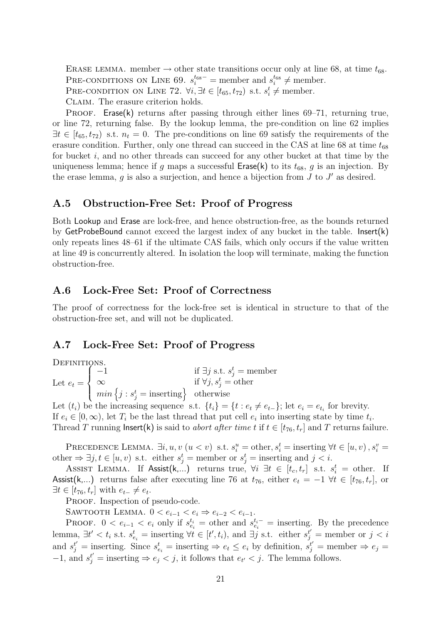ERASE LEMMA. member  $\rightarrow$  other state transitions occur only at line 68, at time  $t_{68}$ . PRE-CONDITIONS ON LINE 69.  $s_i^{t_{68}-}$  = member and  $s_i^{t_{68}} \neq$  member.

PRE-CONDITION ON LINE 72.  $\forall i, \exists t \in [t_{65}, t_{72}) \text{ s.t. } s_i^t \neq \text{member.}$ 

CLAIM. The erasure criterion holds.

PROOF. Erase(k) returns after passing through either lines 69–71, returning true, or line 72, returning false. By the lookup lemma, the pre-condition on line 62 implies  $\exists t \in [t_{65}, t_{72})$  s.t.  $n_t = 0$ . The pre-conditions on line 69 satisfy the requirements of the erasure condition. Further, only one thread can succeed in the CAS at line 68 at time  $t_{68}$ for bucket  $i$ , and no other threads can succeed for any other bucket at that time by the uniqueness lemma; hence if g maps a successful  $\text{Erase}(k)$  to its  $t_{68}$ , g is an injection. By the erase lemma,  $g$  is also a surjection, and hence a bijection from  $J$  to  $J'$  as desired.

#### A.5 Obstruction-Free Set: Proof of Progress

Both Lookup and Erase are lock-free, and hence obstruction-free, as the bounds returned by GetProbeBound cannot exceed the largest index of any bucket in the table. Insert(k) only repeats lines 48–61 if the ultimate CAS fails, which only occurs if the value written at line 49 is concurrently altered. In isolation the loop will terminate, making the function obstruction-free.

#### A.6 Lock-Free Set: Proof of Correctness

The proof of correctness for the lock-free set is identical in structure to that of the obstruction-free set, and will not be duplicated.

#### A.7 Lock-Free Set: Proof of Progress

#### DEFINITIONS.

Let  $e_t =$  $\sqrt{ }$  $\int$  $\overline{\mathcal{L}}$  $-1$  if  $\exists j$  s.t.  $s_j^t$  = member  $\infty$  if ∀j, s<sup>t</sup><sub>j</sub> = other  $min\left\{j : s_j^t = \text{inserting}\right\}$  otherwise

Let  $(t_i)$  be the increasing sequence s.t.  $\{t_i\} = \{t : e_t \neq e_{t-}\}\;$  let  $e_i = e_{t_i}$  for brevity. If  $e_i \in [0, \infty)$ , let  $T_i$  be the last thread that put cell  $e_i$  into inserting state by time  $t_i$ . Thread T running **Insert(k)** is said to *abort after time t* if  $t \in [t_{76}, t_r]$  and T returns failure.

PRECEDENCE LEMMA.  $\exists i, u, v \ (u \lt v) \text{ s.t. } s_i^u = \text{other}, s_i^t = \text{inserting } \forall t \in [u, v), s_i^v =$ other  $\Rightarrow \exists j, t \in [u, v)$  s.t. either  $s_j^t$  = member or  $s_j^t$  = inserting and  $j < i$ .

ASSIST LEMMA. If Assist(k,...) returns true,  $\forall i \ \exists t \in [t_c, t_r]$  s.t.  $s_i^t = \text{other}$ . If Assist(k,...) returns false after executing line 76 at  $t_{76}$ , either  $e_t = -1 \ \forall t \in [t_{76}, t_r]$ , or  $\exists t \in [t_{76}, t_r] \text{ with } e_{t-} \neq e_t.$ 

PROOF. Inspection of pseudo-code.

SAWTOOTH LEMMA.  $0 < e_{i-1} < e_i \Rightarrow e_{i-2} < e_{i-1}$ .

PROOF.  $0 < e_{i-1} < e_i$  only if  $s_{e_i}^{t_i} =$  other and  $s_{e_i}^{t_i-} =$  inserting. By the precedence lemma,  $\exists t' < t_i$  s.t.  $s_{e_i}^t = \text{inserting } \forall t \in [t', t_i)$ , and  $\exists j$  s.t. either  $s_{j}^{t'} = \text{member or } j < i$ and  $s_j^{t'} =$  inserting. Since  $s_{e_i}^t =$  inserting  $\Rightarrow e_t \leq e_i$  by definition,  $s_j^{t'} =$  member  $\Rightarrow e_j =$  $-1$ , and  $s_j^{t'}$  = inserting  $\Rightarrow e_j < j$ , it follows that  $e_{t'} < j$ . The lemma follows.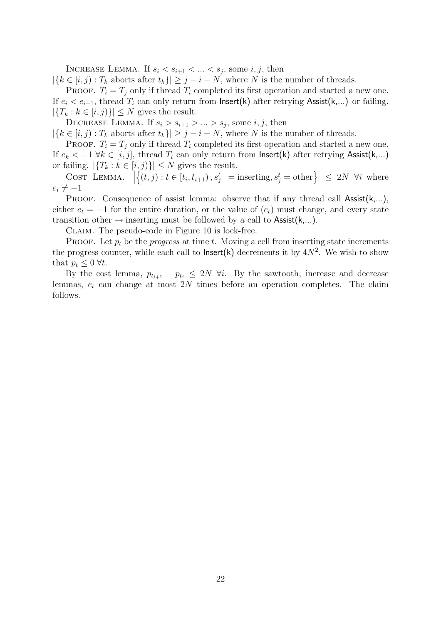INCREASE LEMMA. If  $s_i < s_{i+1} < ... < s_j$ , some  $i, j$ , then

 $|\{k \in [i,j): T_k \text{ aborts after } t_k\}| \geq j - i - N, \text{ where } N \text{ is the number of threads.}$ 

PROOF.  $T_i = T_j$  only if thread  $T_i$  completed its first operation and started a new one. If  $e_i < e_{i+1}$ , thread  $T_i$  can only return from **Insert**(k) after retrying Assist(k,...) or failing.  $|\{T_k : k \in [i,j)\}| \leq N$  gives the result.

DECREASE LEMMA. If  $s_i > s_{i+1} > ... > s_j$ , some  $i, j$ , then

 $|\{k \in [i,j): T_k \text{ aborts after } t_k\}| \geq j - i - N, \text{ where } N \text{ is the number of threads.}$ 

PROOF.  $T_i = T_j$  only if thread  $T_i$  completed its first operation and started a new one. If  $e_k$  < −1  $\forall k \in [i, j]$ , thread  $T_i$  can only return from Insert(k) after retrying Assist(k,...) or failing.  $|\{T_k : k \in [i,j)\}| \leq N$  gives the result.

 $\begin{array}{cc} \text{COST} & \text{LEMMA}. \\ \hline \end{array}$  $\{(t, j) : t \in [t_i, t_{i+1}), s_j^{t-} = \text{inserting}, s_j^t = \text{other}\}\Big| \leq 2N \ \forall i \text{ where}$  $e_i \neq -1$ 

PROOF. Consequence of assist lemma: observe that if any thread call  $\mathsf{Assist}(\mathsf{k},\ldots)$ , either  $e_t = -1$  for the entire duration, or the value of  $(e_t)$  must change, and every state transition other  $\rightarrow$  inserting must be followed by a call to Assist(k,...).

CLAIM. The pseudo-code in Figure 10 is lock-free.

**PROOF.** Let  $p_t$  be the *progress* at time t. Moving a cell from inserting state increments the progress counter, while each call to lnsert(k) decrements it by  $4N^2$ . We wish to show that  $p_t \leq 0 \ \forall t$ .

By the cost lemma,  $p_{t_{i+1}} - p_{t_i} \leq 2N \ \forall i$ . By the sawtooth, increase and decrease lemmas,  $e_t$  can change at most  $2N$  times before an operation completes. The claim follows.